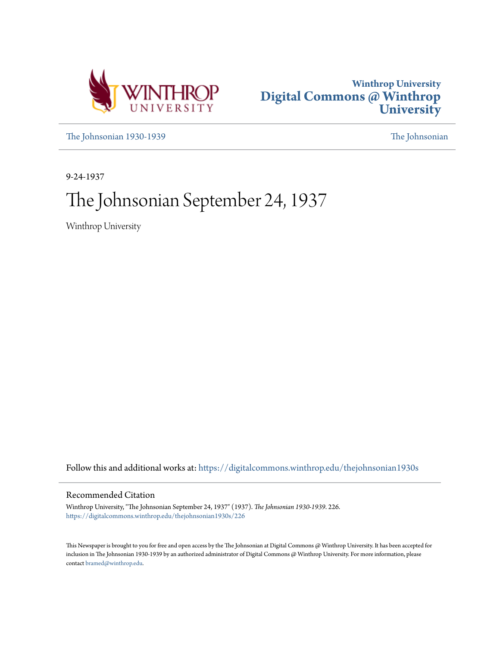



[The Johnsonian 1930-1939](https://digitalcommons.winthrop.edu/thejohnsonian1930s?utm_source=digitalcommons.winthrop.edu%2Fthejohnsonian1930s%2F226&utm_medium=PDF&utm_campaign=PDFCoverPages) [The Johnsonian](https://digitalcommons.winthrop.edu/thejohnsonian_newspaper?utm_source=digitalcommons.winthrop.edu%2Fthejohnsonian1930s%2F226&utm_medium=PDF&utm_campaign=PDFCoverPages)

9-24-1937

# The Johnsonian September 24, 1937

Winthrop University

Follow this and additional works at: [https://digitalcommons.winthrop.edu/thejohnsonian1930s](https://digitalcommons.winthrop.edu/thejohnsonian1930s?utm_source=digitalcommons.winthrop.edu%2Fthejohnsonian1930s%2F226&utm_medium=PDF&utm_campaign=PDFCoverPages)

## Recommended Citation

Winthrop University, "The Johnsonian September 24, 1937" (1937). *The Johnsonian 1930-1939*. 226. [https://digitalcommons.winthrop.edu/thejohnsonian1930s/226](https://digitalcommons.winthrop.edu/thejohnsonian1930s/226?utm_source=digitalcommons.winthrop.edu%2Fthejohnsonian1930s%2F226&utm_medium=PDF&utm_campaign=PDFCoverPages)

This Newspaper is brought to you for free and open access by the The Johnsonian at Digital Commons @ Winthrop University. It has been accepted for inclusion in The Johnsonian 1930-1939 by an authorized administrator of Digital Commons @ Winthrop University. For more information, please contact [bramed@winthrop.edu](mailto:bramed@winthrop.edu).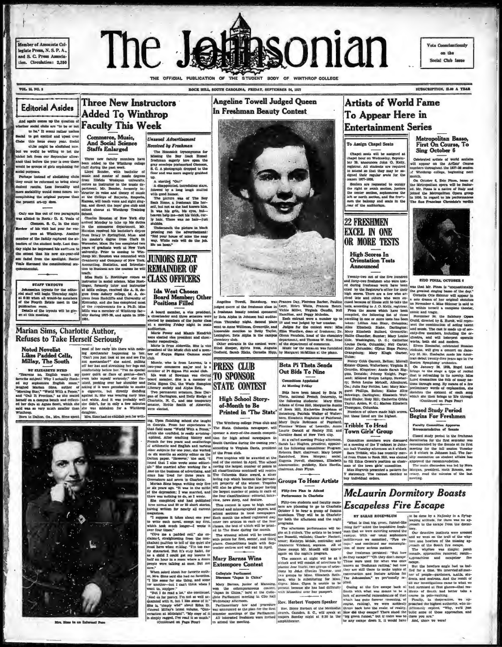Member of Associate Collegiate Press, N. S. P. A. and S. C. Press Associa tion. Circulation: 2,350

# The Je hsonian THE OFFICIAL PUBLICATION OF THE STUDENT BODY OF WINTHROP COLLEGE

ROCK HILL SOUTH CAROLINA. FRIDAY, SEPTEMBER 24, 1877

**Angeline Towell Judged Queen** 

In Freshman Beauty Contest

on the cial Club Iss

SUBSCRIPTION, SLAN A YEAR

**VOL. 15, NO. 3** 

**Editorial Asides** 

Chaha

to get excited and upset over<br>this lause every year. Social<br>ciths might be abolished now. we would be willing to bet the ickel left from our Rentender allow ance that before the year is over there rould be groups of girls organizing for

at ant remon our separature and<br>remonded to the Windlers parameter and the first before the spent in our<br>car added to the Windlers college and the groups of girls argularizing for<br>"Lend in the spent of the spent of the sp hey could be reformed to bring about

Coly one line of two paragraphs choose is Wieldarop Training in was his griss, he as alloid to Rect.: D. E. Venis of Charles Bourdard of New York div by half. There was alloid to Rect.: D. E. Venis of Charles Bourdard of

**STAFF TRYOUTS** 

Johnsenlan tryouts for the editorial staff will begin Toursday night<br>at 6:30 when all would-be members<br>of the Fourth Estate meet in the<br>couth composition would-be ublication room.<br>Details of the tryouts will be giv-<br>m at this meeting.

## **Three New Instructors Added To Winthrop** repair comes up the question of  $\mathbf{F}$  aculty This Week

Commerce, Music,<br>And Social Science **Staffs Enlarged** 

Three new faculty me

The Homesick (synonymous for<br>Missing the Boy Luck Ecomol<br>freshman engerly love open the<br>gray coveleps postmanted Clemano,<br>8. C. A photograph dropped to the<br>floor and was more engerly grabbed<br>floor and was more engerly grab

floor and was more eagenty grasses.<br>We a startled You!"<br>A started You!"<br>A started correlations start, if the lowest by a long laugh suufied<br>with expect to a long laugh suufied<br>Rack Homer.<br>Rack Houston, the splitter was of

ly hair. There was no hair-just<br>glubba.<br>Underneath the picture in black<br>printing ran the advertisement:<br>"Rid your house of mise the sany.<br>"Way, While rate will do the job.<br>25c an hour."

**Unusual Advertisement** 

**Received by Freshman** 

The Homesick (synonymous for

# **CLASS OFFICERS**

Ida West Chosen

uditorium. Marie Power and Mamle Kendrich

of or maps sugar and the state of MESS CLUB<br>
Hand when the state of the state of the state of the state of the state of the state of the state of the state of the state of the state of the boat of the state of the state of

**Princele d.** The Rost Hill and The State of the principle and the specific distance of Princel and the specific distance of Princel and the specific distance of the State of the State of the State College (The Rost State

 $\sqrt{2}$  $\overline{X}$ 591  $\sqrt{1-\frac{1}{2}}$ 

 $\mathcal{L}$ 

Angeline Towell, Bakehorg, was Prances Day, Plorence Barker, Pauline (1947)<br> Queen Gothe Archiman biasar in Lawe, Heter Waltz, Pracese Barker, Pauline a freshmann beauty contest sponsored Vickie Miller. Virginia Gaudin, N department, and Thomas W. Noel, head

p.

y 3

chemistry club. Income and The Company is the entries of the rest of the condest were: of the departments of companyers.<br>The Sheet Sheet Replyin Ness, Augusta Music for the occasion was furnished<br>Codbold, Sarah Hicks, Occa

## Beta Pi Theta Sends Out Bids To Nine Cemmittees Appointed

At Meeting Friday

 $\begin{tabular}{c|c|c} \textbf{1} & \textbf{1} & \textbf{1} & \textbf{1} & \textbf{1} & \textbf{1} & \textbf{1} & \textbf{1} & \textbf{1} & \textbf{1} & \textbf{1} & \textbf{1} & \textbf{1} & \textbf{1} & \textbf{1} & \textbf{1} & \textbf{1} & \textbf{1} & \textbf{1} \\ \hline \textbf{1} & \textbf{1} & \textbf{1} & \textbf{1} & \textbf{1} & \textbf{1} & \textbf{1} & \textbf{1} & \textbf{1} & \textbf{1} & \text$ 

**Entertainment Series** Metropolitan Basso First On Course, To Sing October 6

**Artists of World Fame** 

To Appear Here in

To Assign Chapel Seats

Chapel seats will be assigned at Chapel assis will be assigned at chapel hour on Wednesday, Septem-burghistrar, All students are required to attend as that they may be assigned upon the that they may be also denoted in the theory of the censors 1977-1938.

Seniors are requested to occupy<br>the right or south section, juniors the center section, sophomores the<br>left or north section, and the free'--<br>men the balcony and seats in the<br>rear of the auditorium.

**22 FRESHMEN** 

**EXCEL IN ONE** OR MORE TESTS

> **High Scores In Orientation Teats** Announced

**Tribble To Head Town Girls' Group** 

Twenty-two out of the five hundre

Celebrated artists of world acclaim<br>will appear on the Artists' Course<br>numbers throughout the 1937-36 season<br>of Windhrop college, beginning next<br>nonth.

month.<br>
On October 6, Exio Pinna, base of the Metropolitan opera will be featured.<br>
Mr. Pinna is a native of Raly and joined the Metropolitan Opera group<br>
joined the Metropolitan Opera group (prince production of the Metro



Twenty-two out of the five humdred and forces and a state of the five humdred and force-term realisation of the detection of the detection of the detection of the detection of the detection of the state of the state of th

r Hällie Charolier, Bautterhoro, Urginia and Bautterhoro, Bautterhoro, Urginia i Schotz, Charolier, Höllier, Schotz, Elizabeth, Schotz, Elizabeth, Schotz, Schotz, Schotz, Schotz, Schotz, Schotz, Schotz, Schotz, Schotz, Sc land: Midderd Evelyn Leiteger, Newbern (2)<br>1979, Helen Louise McLeaft, Allenhurst, Ga, Julia Ray Nettles, Leo: Mary Mars, Saret Phillips, Belton; Elizabet Allen<br>Saret Phillips, Belton; Elizabeth Wolf-State Allen<br>Schweizer

### **Closed Study Period Begins For Freshmen**

Faculty Committee Approvements

**TOWN Girls' Group**<br>
Consulties members were discussed consulties are been interested of the technical consulties members were discussed consultation for the first remoted as a method of the state at a set and the consult

## **McLaurin Dormitory Boasts Escapeless Fire Escape**





al Base

Mrs. Sime in an Ind

daughter.<br>Born in Dalton, Ga., Mrs. Sims spent. Mrs. Sims had no childish yen for writ

Marian Sims, Charlotte Author,

ACCELERATION AND TRESCENT SUIT UNITS IN THE SAME TRANSPORTED TO A THE SERVE THAT AND THE SUITE OF THE SUITE OF THE SUITE OF THE SUITE OF THE SUITE OF THE SUITE OF THE SUITE OF THE SUITE OF THE SUITE OF THE SUITE OF THE SU

teach.<br>Miss Ruth L. Roettinger comes at<br>instructor in social science, Miss Roet-



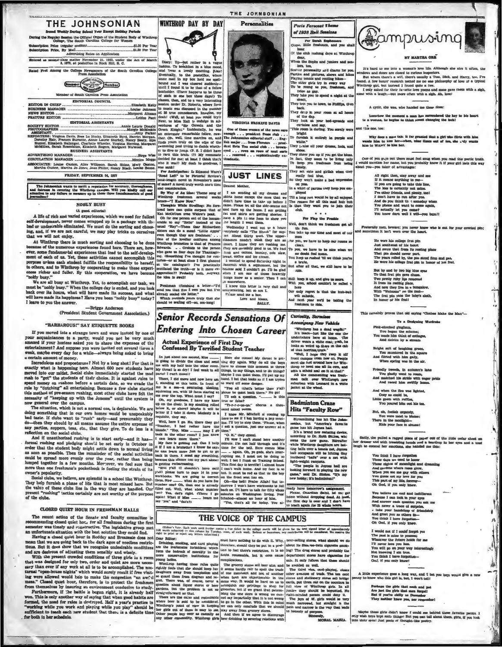

THE JOHNSONIAN

FRIDAY, SEPTEMBER 34, 1937 monian wants to merit a reputation for accuracy, theroughness<br>In cevering the Winthrop campus. Will you kindly call our<br>any failure to measure up in these three foundamentals of good lag to

**NOBLY BUSY** 

A life of rich and varied experiences, which we need for fullest<br>self-development, newer comes wrapped up in a package with those<br>bad or undescribe eliminated. We must do the sorting and choos-<br>ing, and, if we are not care that we will not enjoy.

that we will not enjoy.<br>
As two will not enjoy.<br>
As Whatkrop there is much sorting and choosing to be done<br>
because of the numerous experiences found here. There are, how-<br>
over, none-fundamental experiences that lead to t

"noby busy."<br>We are all busy at Winthrop. Yet, to accomplish our task, we must be "nobly busy." When the college day is ended, and you look<br>back over its hours, what will have made its success, and what<br>back over its hours

"BARBAROUS!" SAY ETIQUETTE BOOKS

He was been about the strain of the strain of the strain of the strain of the strain of the strain of the strain of the strain of the strain of the strain of the strain of the strain of the strain of the strain of the str

CLOSED QUIET HOUR IN FRESHMAN HALLS<br>
The recent action of the Senate and factoity commutes in<br>
recommending closed quiet hoc, for all freshmen during the first<br>
recommending closed quiet hoc, for all freshmen during the f

roun unemeaves oy meaning an environment conductive to study. For<br>thermore, if the lattle is begun right, it is already half won. This is one and<br>abilitative way of asying that when good habita are formed, the used for ru

For Andrehoten: Is Edmund Weber<br>The Andrehoten: Is example the two states of Length and Length and the method in the state of some<br>function of the state of the state of the state of the state of the state of the state of

was sank!<br>For Andelpation: Is Edmund Ware's<br>"Road Left" to be Pictorial Review's<br>book-length novel in November's issue<br>of same? A novel truly worth one's time

**Senior Records Sensations Of** 

## Entering Into Chosen Career

(Editor's Note. Each week useld forther notice a free ticket to the college murde will be given for the best signed letter at approxil.<br>100 words sobsected in this column by Teeday, noon, of each work. Serious or humotown,

**Editor:**<br>Inches, emoting, and card playing insert cre, should they be put in a post-<br>Da included forbiddent which luce to feel there's restriction. It is no just it sufface we-term depression of<br>the inclusions of special

From the contents of model in the same way. To state of equations for the same of the same of the same and the same and the same and the same and the same and the state of the space of the state of the state of the state

ag to do with it. Why, ; beer-selling stores, what should we do department stores have cigarettes for

Why does a man tale. It for granted that a girl who filrts with the to itine her-when, nine times out of tem, she , why sim to WANT to kies her.

an's love life. Alth

One of you 3: ye out there must feel mug when you read this poetic train.<br>ould mention her name, but you probably know it if your girl feels this way<br>ut you—you taker of advantages:

- All right then, stay away and see II  $i$  to mean anything to mean anything to the line, The least is createdly rot small, the line, Press to the line, The least is created by a created by a created of the comparison of th
- 
- 

erally mem, beware; you never know who is out for your coveied pin;<br>:Umes it isn't worn over the heart.

He wore his college frat pin<br>Just southwest of his beart<br>And swore that from its resting place<br>That pin abould never part,<br>The years rolled by the pine stood firm and pat,<br>He were his college frat pin in honor of his frat

But by and by two big hims or<br>To that frat pin gave chase. Two pretiy ruby lips removed<br>It from its resting place.<br>It from its resting place.<br>And now they live in a bungal Wilh we<br>loome on the mainting place. The frat pin

This certainly proves that old saying "Clo

To a Deal Pink-checked gingham,<br>You began the scheme;<br>You made him think of cott And dateles by a st

ght suit of laughing green,<br>You sauntered in the square<br>if flirted with him gally,<br>When spring was in the air,

endly tweeds, in autumn's lane<br>Tou gladly went to roam,<br>i matchad his stride with eager pride<br>And raced him swiftly home.

And when the fire was lighted<br>Cony as could be,<br>Little gown with ruffles,<br>You poured him out his tea

. Sadly, the pulled a ragged piece of paper out of the little cedar che<br>her dresser and with trembling hands and a teardrop in her eyes and a<br>laugh to conceal her emotiona, she handed me this:

You think I have forgotten<br>These days we used to know These claps we used to know<br>These radiats of meanings and gardens where roses given.<br>When you see me gay with oth<br>You guess not my love for you and This part of any li

elieve me cool and me You believe ma cool and indi-Because I can look in your sy-<br>And answer each question you<br>With never a trace of surprise<br>. take your handclasp of frien<br>and seen as others do-And greet you manuscasp or<br>And greet you as others do<br>You think I have forgotten

I would not if I could forget you<br>The past is mine to yousses;<br>Whatever the future hold for me<br>Whatever the future hold for me<br>Tou will go on your way interesting<br>Wou will go on your way interesting<br> $\sim$  You think I have Ood if you only im-

A little experience gome a long way, and I het you hoys would give a new

Perhaps the girls that mask and pot<br>Are just the girls that men forget!<br>But if you're chilly as Desember<br>They neither know you, nor rememb

Maybe these girls didn't know I could see hehind these favorite poems. I only wish hoys topt such things! But you can tell about them, girls, if you look into their syes! Just pools of thought-like postry.

ante forbida<br>
nore conservative institution<br>
young ladies,<br>
whiter-

THE VOICE OF THE CAMPUS

notely.<br>
They act cute and girl<br>
Ro they won't make a<br>
Gu brown make a<br>
In a whirl of parties they<br>
ployed<br>
Till a long word

Curiosity, Surmises Accompany New Vehicle

A construction of the Vehicle<br>of the state of the conduction of the state of the state of the<br>state of the state of the state of the state of the state of<br>the state of the state of the state of the state of the state<br>of t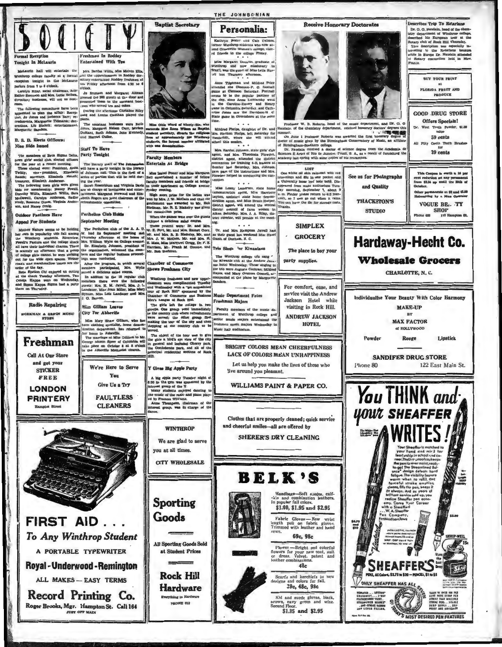